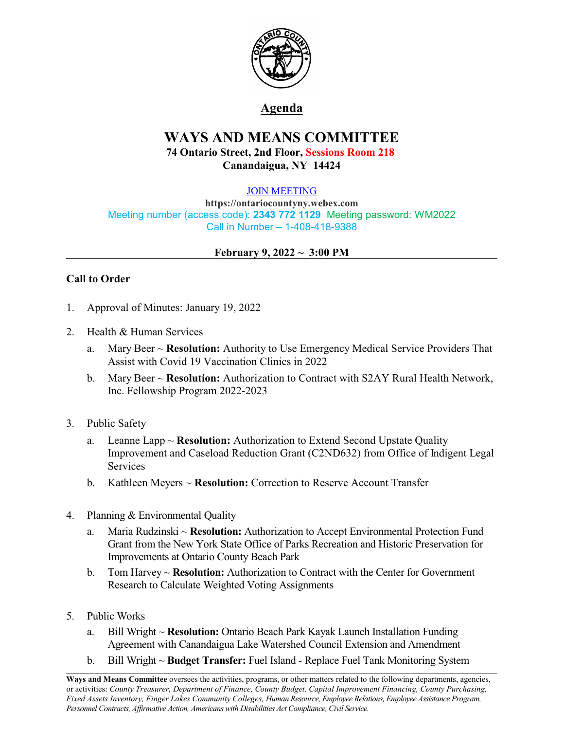

# **Agenda**

# **WAYS AND MEANS COMMITTEE 74 Ontario Street, 2nd Floor, Sessions Room 218 Canandaigua, NY 14424**

### [JOIN MEETING](https://ontariocountyny.webex.com/)

**https://ontariocountyny.webex.com** Meeting number (access code): **2343 772 1129** Meeting password: WM2022 Call in Number – 1-408-418-9388

### **February 9, 2022 ~ 3:00 PM**

# **Call to Order**

- 1. Approval of Minutes: January 19, 2022
- 2. Health & Human Services
	- a. Mary Beer ~ **Resolution:** Authority to Use Emergency Medical Service Providers That Assist with Covid 19 Vaccination Clinics in 2022
	- b. Mary Beer ~ **Resolution:** Authorization to Contract with S2AY Rural Health Network, Inc. Fellowship Program 2022-2023
- 3. Public Safety
	- a. Leanne Lapp ~ **Resolution:** Authorization to Extend Second Upstate Quality Improvement and Caseload Reduction Grant (C2ND632) from Office of Indigent Legal Services
	- b. Kathleen Meyers ~ **Resolution:** Correction to Reserve Account Transfer
- 4. Planning & Environmental Quality
	- a. Maria Rudzinski ~ **Resolution:** Authorization to Accept Environmental Protection Fund Grant from the New York State Office of Parks Recreation and Historic Preservation for Improvements at Ontario County Beach Park
	- b. Tom Harvey ~ **Resolution:** Authorization to Contract with the Center for Government Research to Calculate Weighted Voting Assignments
- 5. Public Works
	- a. Bill Wright ~ **Resolution:** Ontario Beach Park Kayak Launch Installation Funding Agreement with Canandaigua Lake Watershed Council Extension and Amendment
	- b. Bill Wright ~ **Budget Transfer:** Fuel Island Replace Fuel Tank Monitoring System

**Ways and Means Committee** oversees the activities, programs, or other matters related to the following departments, agencies, or activities: *County Treasurer, Department of Finance, County Budget, Capital Improvement Financing, County Purchasing, Fixed Assets Inventory, Finger Lakes Community Colleges, Human Resource, Employee Relations, Employee Assistance Program, Personnel Contracts, Af irmative Action, Americans with Disabilities Act Compliance, Civil Service.*